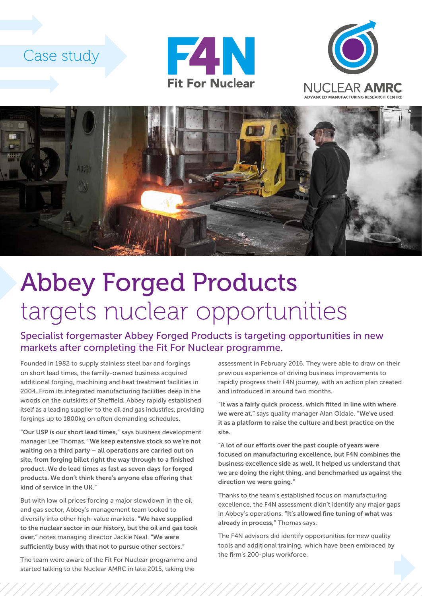## Case study







## Abbey Forged Products targets nuclear opportunities

Specialist forgemaster Abbey Forged Products is targeting opportunities in new markets after completing the Fit For Nuclear programme.

Founded in 1982 to supply stainless steel bar and forgings on short lead times, the family-owned business acquired additional forging, machining and heat treatment facilities in 2004. From its integrated manufacturing facilities deep in the woods on the outskirts of Sheffield, Abbey rapidly established itself as a leading supplier to the oil and gas industries, providing forgings up to 1800kg on often demanding schedules.

"Our USP is our short lead times," says business development manager Lee Thomas. "We keep extensive stock so we're not waiting on a third party – all operations are carried out on site, from forging billet right the way through to a finished product. We do lead times as fast as seven days for forged products. We don't think there's anyone else offering that kind of service in the UK."

But with low oil prices forcing a major slowdown in the oil and gas sector, Abbey's management team looked to diversify into other high-value markets. "We have supplied to the nuclear sector in our history, but the oil and gas took over," notes managing director Jackie Neal. "We were sufficiently busy with that not to pursue other sectors."

The team were aware of the Fit For Nuclear programme and started talking to the Nuclear AMRC in late 2015, taking the

assessment in February 2016. They were able to draw on their previous experience of driving business improvements to rapidly progress their F4N journey, with an action plan created and introduced in around two months.

"It was a fairly quick process, which fitted in line with where we were at," says quality manager Alan Oldale. "We've used it as a platform to raise the culture and best practice on the site.

"A lot of our efforts over the past couple of years were focused on manufacturing excellence, but F4N combines the business excellence side as well. It helped us understand that we are doing the right thing, and benchmarked us against the direction we were going."

Thanks to the team's established focus on manufacturing excellence, the F4N assessment didn't identify any major gaps in Abbey's operations. "It's allowed fine tuning of what was already in process," Thomas says.

The F4N advisors did identify opportunities for new quality tools and additional training, which have been embraced by the firm's 200-plus workforce.